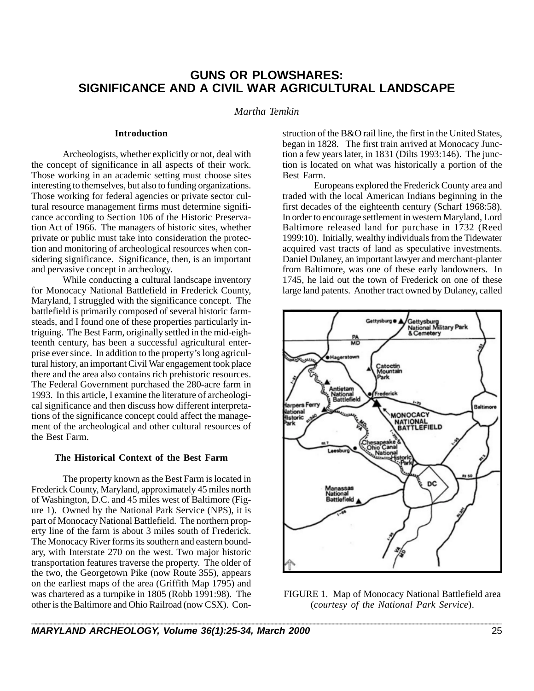# **GUNS OR PLOWSHARES: SIGNIFICANCE AND A CIVIL WAR AGRICULTURAL LANDSCAPE**

# *Martha Temkin*

### **Introduction**

Archeologists, whether explicitly or not, deal with the concept of significance in all aspects of their work. Those working in an academic setting must choose sites interesting to themselves, but also to funding organizations. Those working for federal agencies or private sector cultural resource management firms must determine significance according to Section 106 of the Historic Preservation Act of 1966. The managers of historic sites, whether private or public must take into consideration the protection and monitoring of archeological resources when considering significance. Significance, then, is an important and pervasive concept in archeology.

While conducting a cultural landscape inventory for Monocacy National Battlefield in Frederick County, Maryland, I struggled with the significance concept. The battlefield is primarily composed of several historic farmsteads, and I found one of these properties particularly intriguing. The Best Farm, originally settled in the mid-eighteenth century, has been a successful agricultural enterprise ever since. In addition to the property's long agricultural history, an important Civil War engagement took place there and the area also contains rich prehistoric resources. The Federal Government purchased the 280-acre farm in 1993. In this article, I examine the literature of archeological significance and then discuss how different interpretations of the significance concept could affect the management of the archeological and other cultural resources of the Best Farm.

#### **The Historical Context of the Best Farm**

The property known as the Best Farm is located in Frederick County, Maryland, approximately 45 miles north of Washington, D.C. and 45 miles west of Baltimore (Figure 1). Owned by the National Park Service (NPS), it is part of Monocacy National Battlefield. The northern property line of the farm is about 3 miles south of Frederick. The Monocacy River forms its southern and eastern boundary, with Interstate 270 on the west. Two major historic transportation features traverse the property. The older of the two, the Georgetown Pike (now Route 355), appears on the earliest maps of the area (Griffith Map 1795) and was chartered as a turnpike in 1805 (Robb 1991:98). The other is the Baltimore and Ohio Railroad (now CSX). Con-

struction of the B&O rail line, the first in the United States, began in 1828. The first train arrived at Monocacy Junction a few years later, in 1831 (Dilts 1993:146). The junction is located on what was historically a portion of the Best Farm.

Europeans explored the Frederick County area and traded with the local American Indians beginning in the first decades of the eighteenth century (Scharf 1968:58). In order to encourage settlement in western Maryland, Lord Baltimore released land for purchase in 1732 (Reed 1999:10). Initially, wealthy individuals from the Tidewater acquired vast tracts of land as speculative investments. Daniel Dulaney, an important lawyer and merchant-planter from Baltimore, was one of these early landowners. In 1745, he laid out the town of Frederick on one of these large land patents. Another tract owned by Dulaney, called



FIGURE 1. Map of Monocacy National Battlefield area (*courtesy of the National Park Service*).

\_\_\_\_\_\_\_\_\_\_\_\_\_\_\_\_\_\_\_\_\_\_\_\_\_\_\_\_\_\_\_\_\_\_\_\_\_\_\_\_\_\_\_\_\_\_\_\_\_\_\_\_\_\_\_\_\_\_\_\_\_\_\_\_\_\_\_\_\_\_\_\_\_\_\_\_\_\_\_\_\_\_\_\_\_\_\_\_\_\_\_\_\_\_\_\_\_\_\_\_\_\_\_\_\_\_\_\_\_\_\_\_\_\_\_\_\_\_\_\_\_\_\_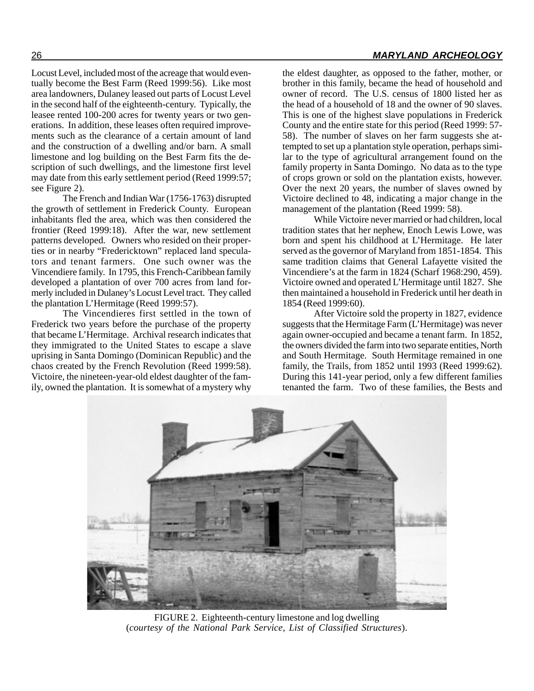Locust Level, included most of the acreage that would eventually become the Best Farm (Reed 1999:56). Like most area landowners, Dulaney leased out parts of Locust Level in the second half of the eighteenth-century. Typically, the leasee rented 100-200 acres for twenty years or two generations. In addition, these leases often required improvements such as the clearance of a certain amount of land and the construction of a dwelling and/or barn. A small limestone and log building on the Best Farm fits the description of such dwellings, and the limestone first level may date from this early settlement period (Reed 1999:57; see Figure 2).

The French and Indian War (1756-1763) disrupted the growth of settlement in Frederick County. European inhabitants fled the area, which was then considered the frontier (Reed 1999:18). After the war, new settlement patterns developed. Owners who resided on their properties or in nearby "Fredericktown" replaced land speculators and tenant farmers. One such owner was the Vincendiere family. In 1795, this French-Caribbean family developed a plantation of over 700 acres from land formerly included in Dulaney's Locust Level tract. They called the plantation L'Hermitage (Reed 1999:57).

The Vincendieres first settled in the town of Frederick two years before the purchase of the property that became L'Hermitage. Archival research indicates that they immigrated to the United States to escape a slave uprising in Santa Domingo (Dominican Republic) and the chaos created by the French Revolution (Reed 1999:58). Victoire, the nineteen-year-old eldest daughter of the family, owned the plantation. It is somewhat of a mystery why

the eldest daughter, as opposed to the father, mother, or brother in this family, became the head of household and owner of record. The U.S. census of 1800 listed her as the head of a household of 18 and the owner of 90 slaves. This is one of the highest slave populations in Frederick County and the entire state for this period (Reed 1999: 57- 58). The number of slaves on her farm suggests she attempted to set up a plantation style operation, perhaps similar to the type of agricultural arrangement found on the family property in Santa Domingo. No data as to the type of crops grown or sold on the plantation exists, however. Over the next 20 years, the number of slaves owned by Victoire declined to 48, indicating a major change in the management of the plantation (Reed 1999: 58).

While Victoire never married or had children, local tradition states that her nephew, Enoch Lewis Lowe, was born and spent his childhood at L'Hermitage. He later served as the governor of Maryland from 1851-1854. This same tradition claims that General Lafayette visited the Vincendiere's at the farm in 1824 (Scharf 1968:290, 459). Victoire owned and operated L'Hermitage until 1827. She then maintained a household in Frederick until her death in 1854 (Reed 1999:60).

After Victoire sold the property in 1827, evidence suggests that the Hermitage Farm (L'Hermitage) was never again owner-occupied and became a tenant farm. In 1852, the owners divided the farm into two separate entities, North and South Hermitage. South Hermitage remained in one family, the Trails, from 1852 until 1993 (Reed 1999:62). During this 141-year period, only a few different families tenanted the farm. Two of these families, the Bests and



FIGURE 2. Eighteenth-century limestone and log dwelling (*courtesy of the National Park Service, List of Classified Structures*).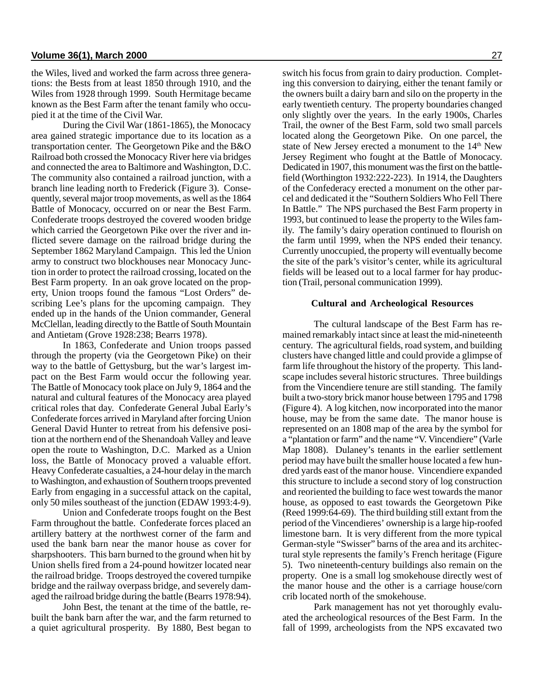the Wiles, lived and worked the farm across three generations: the Bests from at least 1850 through 1910, and the Wiles from 1928 through 1999. South Hermitage became known as the Best Farm after the tenant family who occupied it at the time of the Civil War.

During the Civil War (1861-1865), the Monocacy area gained strategic importance due to its location as a transportation center. The Georgetown Pike and the B&O Railroad both crossed the Monocacy River here via bridges and connected the area to Baltimore and Washington, D.C. The community also contained a railroad junction, with a branch line leading north to Frederick (Figure 3). Consequently, several major troop movements, as well as the 1864 Battle of Monocacy, occurred on or near the Best Farm. Confederate troops destroyed the covered wooden bridge which carried the Georgetown Pike over the river and inflicted severe damage on the railroad bridge during the September 1862 Maryland Campaign. This led the Union army to construct two blockhouses near Monocacy Junction in order to protect the railroad crossing, located on the Best Farm property. In an oak grove located on the property, Union troops found the famous "Lost Orders" describing Lee's plans for the upcoming campaign. They ended up in the hands of the Union commander, General McClellan, leading directly to the Battle of South Mountain and Antietam (Grove 1928:238; Bearrs 1978).

In 1863, Confederate and Union troops passed through the property (via the Georgetown Pike) on their way to the battle of Gettysburg, but the war's largest impact on the Best Farm would occur the following year. The Battle of Monocacy took place on July 9, 1864 and the natural and cultural features of the Monocacy area played critical roles that day. Confederate General Jubal Early's Confederate forces arrived in Maryland after forcing Union General David Hunter to retreat from his defensive position at the northern end of the Shenandoah Valley and leave open the route to Washington, D.C. Marked as a Union loss, the Battle of Monocacy proved a valuable effort. Heavy Confederate casualties, a 24-hour delay in the march to Washington, and exhaustion of Southern troops prevented Early from engaging in a successful attack on the capital, only 50 miles southeast of the junction (EDAW 1993:4-9).

Union and Confederate troops fought on the Best Farm throughout the battle. Confederate forces placed an artillery battery at the northwest corner of the farm and used the bank barn near the manor house as cover for sharpshooters. This barn burned to the ground when hit by Union shells fired from a 24-pound howitzer located near the railroad bridge. Troops destroyed the covered turnpike bridge and the railway overpass bridge, and severely damaged the railroad bridge during the battle (Bearrs 1978:94).

John Best, the tenant at the time of the battle, rebuilt the bank barn after the war, and the farm returned to a quiet agricultural prosperity. By 1880, Best began to

switch his focus from grain to dairy production. Completing this conversion to dairying, either the tenant family or the owners built a dairy barn and silo on the property in the early twentieth century. The property boundaries changed only slightly over the years. In the early 1900s, Charles Trail, the owner of the Best Farm, sold two small parcels located along the Georgetown Pike. On one parcel, the state of New Jersey erected a monument to the 14<sup>th</sup> New Jersey Regiment who fought at the Battle of Monocacy. Dedicated in 1907, this monument was the first on the battlefield (Worthington 1932:222-223). In 1914, the Daughters of the Confederacy erected a monument on the other parcel and dedicated it the "Southern Soldiers Who Fell There In Battle." The NPS purchased the Best Farm property in 1993, but continued to lease the property to the Wiles family. The family's dairy operation continued to flourish on the farm until 1999, when the NPS ended their tenancy. Currently unoccupied, the property will eventually become the site of the park's visitor's center, while its agricultural fields will be leased out to a local farmer for hay production (Trail, personal communication 1999).

#### **Cultural and Archeological Resources**

The cultural landscape of the Best Farm has remained remarkably intact since at least the mid-nineteenth century. The agricultural fields, road system, and building clusters have changed little and could provide a glimpse of farm life throughout the history of the property. This landscape includes several historic structures. Three buildings from the Vincendiere tenure are still standing. The family built a two-story brick manor house between 1795 and 1798 (Figure 4). A log kitchen, now incorporated into the manor house, may be from the same date. The manor house is represented on an 1808 map of the area by the symbol for a "plantation or farm" and the name "V. Vincendiere" (Varle Map 1808). Dulaney's tenants in the earlier settlement period may have built the smaller house located a few hundred yards east of the manor house. Vincendiere expanded this structure to include a second story of log construction and reoriented the building to face west towards the manor house, as opposed to east towards the Georgetown Pike (Reed 1999:64-69). The third building still extant from the period of the Vincendieres' ownership is a large hip-roofed limestone barn. It is very different from the more typical German-style "Swisser" barns of the area and its architectural style represents the family's French heritage (Figure 5). Two nineteenth-century buildings also remain on the property. One is a small log smokehouse directly west of the manor house and the other is a carriage house/corn crib located north of the smokehouse.

Park management has not yet thoroughly evaluated the archeological resources of the Best Farm. In the fall of 1999, archeologists from the NPS excavated two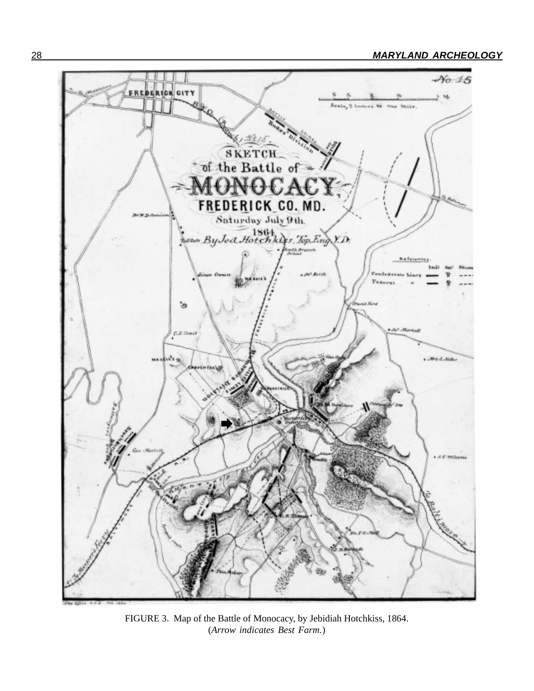

FIGURE 3. Map of the Battle of Monocacy, by Jebidiah Hotchkiss, 1864. (*Arrow indicates Best Farm.*)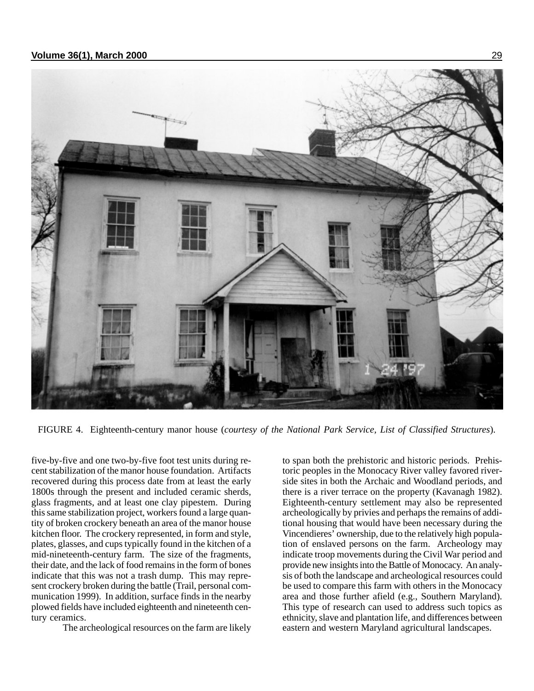

FIGURE 4. Eighteenth-century manor house (*courtesy of the National Park Service, List of Classified Structures*).

five-by-five and one two-by-five foot test units during recent stabilization of the manor house foundation. Artifacts recovered during this process date from at least the early 1800s through the present and included ceramic sherds, glass fragments, and at least one clay pipestem. During this same stabilization project, workers found a large quantity of broken crockery beneath an area of the manor house kitchen floor. The crockery represented, in form and style, plates, glasses, and cups typically found in the kitchen of a mid-nineteenth-century farm. The size of the fragments, their date, and the lack of food remains in the form of bones indicate that this was not a trash dump. This may represent crockery broken during the battle (Trail, personal communication 1999). In addition, surface finds in the nearby plowed fields have included eighteenth and nineteenth century ceramics.

The archeological resources on the farm are likely

to span both the prehistoric and historic periods. Prehistoric peoples in the Monocacy River valley favored riverside sites in both the Archaic and Woodland periods, and there is a river terrace on the property (Kavanagh 1982). Eighteenth-century settlement may also be represented archeologically by privies and perhaps the remains of additional housing that would have been necessary during the Vincendieres' ownership, due to the relatively high population of enslaved persons on the farm. Archeology may indicate troop movements during the Civil War period and provide new insights into the Battle of Monocacy. An analysis of both the landscape and archeological resources could be used to compare this farm with others in the Monocacy area and those further afield (e.g., Southern Maryland). This type of research can used to address such topics as ethnicity, slave and plantation life, and differences between eastern and western Maryland agricultural landscapes.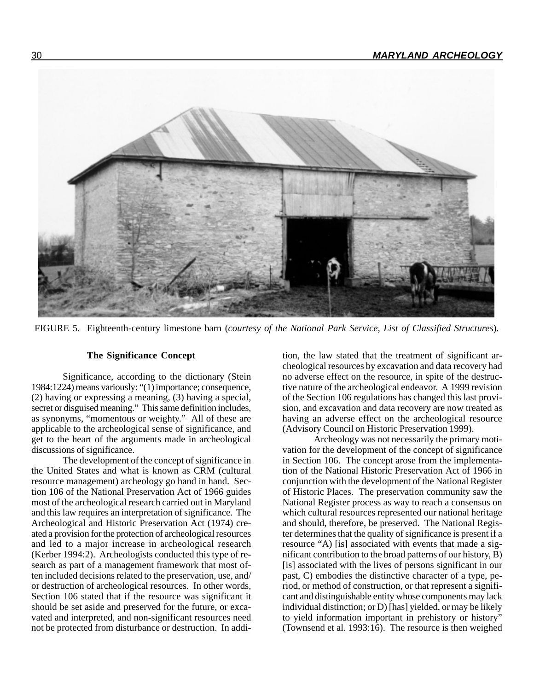

FIGURE 5. Eighteenth-century limestone barn (*courtesy of the National Park Service, List of Classified Structures*).

# **The Significance Concept**

Significance, according to the dictionary (Stein 1984:1224) means variously: "(1) importance; consequence, (2) having or expressing a meaning, (3) having a special, secret or disguised meaning." This same definition includes, as synonyms, "momentous or weighty." All of these are applicable to the archeological sense of significance, and get to the heart of the arguments made in archeological discussions of significance.

The development of the concept of significance in the United States and what is known as CRM (cultural resource management) archeology go hand in hand. Section 106 of the National Preservation Act of 1966 guides most of the archeological research carried out in Maryland and this law requires an interpretation of significance. The Archeological and Historic Preservation Act (1974) created a provision for the protection of archeological resources and led to a major increase in archeological research (Kerber 1994:2). Archeologists conducted this type of research as part of a management framework that most often included decisions related to the preservation, use, and/ or destruction of archeological resources. In other words, Section 106 stated that if the resource was significant it should be set aside and preserved for the future, or excavated and interpreted, and non-significant resources need not be protected from disturbance or destruction. In addition, the law stated that the treatment of significant archeological resources by excavation and data recovery had no adverse effect on the resource, in spite of the destructive nature of the archeological endeavor. A 1999 revision of the Section 106 regulations has changed this last provision, and excavation and data recovery are now treated as having an adverse effect on the archeological resource (Advisory Council on Historic Preservation 1999).

Archeology was not necessarily the primary motivation for the development of the concept of significance in Section 106. The concept arose from the implementation of the National Historic Preservation Act of 1966 in conjunction with the development of the National Register of Historic Places. The preservation community saw the National Register process as way to reach a consensus on which cultural resources represented our national heritage and should, therefore, be preserved. The National Register determines that the quality of significance is present if a resource "A) [is] associated with events that made a significant contribution to the broad patterns of our history, B) [is] associated with the lives of persons significant in our past, C) embodies the distinctive character of a type, period, or method of construction, or that represent a significant and distinguishable entity whose components may lack individual distinction; or D) [has] yielded, or may be likely to yield information important in prehistory or history" (Townsend et al. 1993:16). The resource is then weighed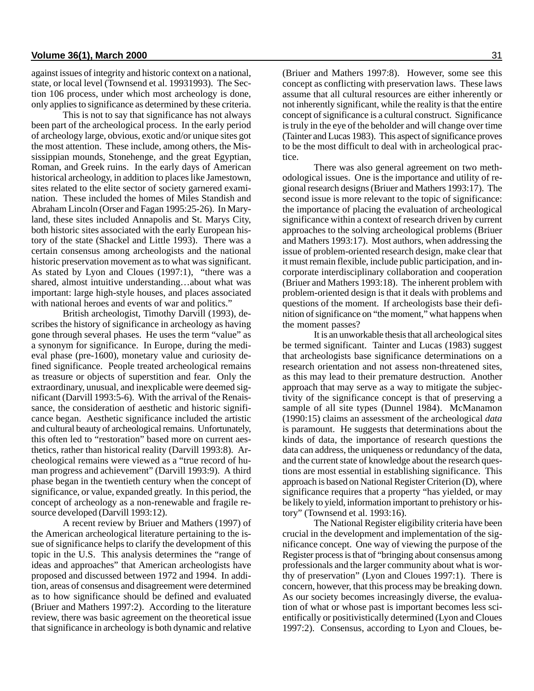against issues of integrity and historic context on a national, state, or local level (Townsend et al. 19931993). The Section 106 process, under which most archeology is done, only applies to significance as determined by these criteria.

This is not to say that significance has not always been part of the archeological process. In the early period of archeology large, obvious, exotic and/or unique sites got the most attention. These include, among others, the Mississippian mounds, Stonehenge, and the great Egyptian, Roman, and Greek ruins. In the early days of American historical archeology, in addition to places like Jamestown, sites related to the elite sector of society garnered examination. These included the homes of Miles Standish and Abraham Lincoln (Orser and Fagan 1995:25-26). In Maryland, these sites included Annapolis and St. Marys City, both historic sites associated with the early European history of the state (Shackel and Little 1993). There was a certain consensus among archeologists and the national historic preservation movement as to what was significant. As stated by Lyon and Cloues (1997:1), "there was a shared, almost intuitive understanding…about what was important: large high-style houses, and places associated with national heroes and events of war and politics."

British archeologist, Timothy Darvill (1993), describes the history of significance in archeology as having gone through several phases. He uses the term "value" as a synonym for significance. In Europe, during the medieval phase (pre-1600), monetary value and curiosity defined significance. People treated archeological remains as treasure or objects of superstition and fear. Only the extraordinary, unusual, and inexplicable were deemed significant (Darvill 1993:5-6). With the arrival of the Renaissance, the consideration of aesthetic and historic significance began. Aesthetic significance included the artistic and cultural beauty of archeological remains. Unfortunately, this often led to "restoration" based more on current aesthetics, rather than historical reality (Darvill 1993:8). Archeological remains were viewed as a "true record of human progress and achievement" (Darvill 1993:9). A third phase began in the twentieth century when the concept of significance, or value, expanded greatly. In this period, the concept of archeology as a non-renewable and fragile resource developed (Darvill 1993:12).

A recent review by Briuer and Mathers (1997) of the American archeological literature pertaining to the issue of significance helps to clarify the development of this topic in the U.S. This analysis determines the "range of ideas and approaches" that American archeologists have proposed and discussed between 1972 and 1994. In addition, areas of consensus and disagreement were determined as to how significance should be defined and evaluated (Briuer and Mathers 1997:2). According to the literature review, there was basic agreement on the theoretical issue that significance in archeology is both dynamic and relative

(Briuer and Mathers 1997:8). However, some see this concept as conflicting with preservation laws. These laws assume that all cultural resources are either inherently or not inherently significant, while the reality is that the entire concept of significance is a cultural construct. Significance is truly in the eye of the beholder and will change over time (Tainter and Lucas 1983). This aspect of significance proves to be the most difficult to deal with in archeological practice.

There was also general agreement on two methodological issues. One is the importance and utility of regional research designs (Briuer and Mathers 1993:17). The second issue is more relevant to the topic of significance: the importance of placing the evaluation of archeological significance within a context of research driven by current approaches to the solving archeological problems (Briuer and Mathers 1993:17). Most authors, when addressing the issue of problem-oriented research design, make clear that it must remain flexible, include public participation, and incorporate interdisciplinary collaboration and cooperation (Briuer and Mathers 1993:18). The inherent problem with problem-oriented design is that it deals with problems and questions of the moment. If archeologists base their definition of significance on "the moment," what happens when the moment passes?

It is an unworkable thesis that all archeological sites be termed significant. Tainter and Lucas (1983) suggest that archeologists base significance determinations on a research orientation and not assess non-threatened sites, as this may lead to their premature destruction. Another approach that may serve as a way to mitigate the subjectivity of the significance concept is that of preserving a sample of all site types (Dunnel 1984). McManamon (1990:15) claims an assessment of the archeological *data* is paramount. He suggests that determinations about the kinds of data, the importance of research questions the data can address, the uniqueness or redundancy of the data, and the current state of knowledge about the research questions are most essential in establishing significance. This approach is based on National Register Criterion (D), where significance requires that a property "has yielded, or may be likely to yield, information important to prehistory or history" (Townsend et al. 1993:16).

The National Register eligibility criteria have been crucial in the development and implementation of the significance concept. One way of viewing the purpose of the Register process is that of "bringing about consensus among professionals and the larger community about what is worthy of preservation" (Lyon and Cloues 1997:1). There is concern, however, that this process may be breaking down. As our society becomes increasingly diverse, the evaluation of what or whose past is important becomes less scientifically or positivistically determined (Lyon and Cloues 1997:2). Consensus, according to Lyon and Cloues, be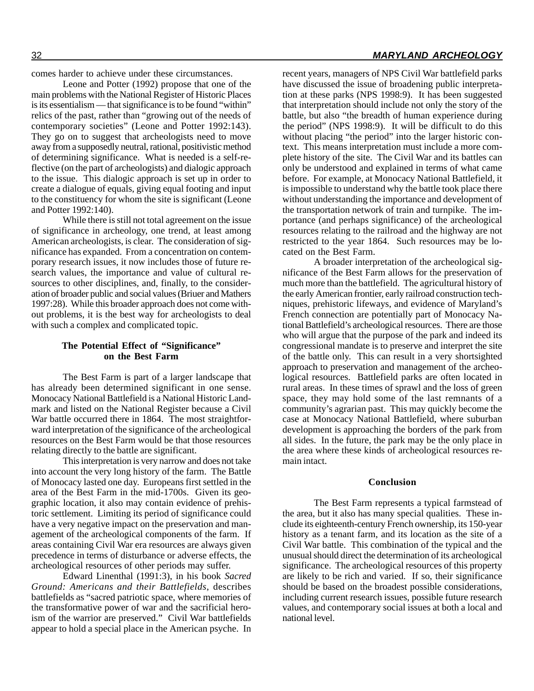comes harder to achieve under these circumstances.

Leone and Potter (1992) propose that one of the main problems with the National Register of Historic Places is its essentialism — that significance is to be found "within" relics of the past, rather than "growing out of the needs of contemporary societies" (Leone and Potter 1992:143). They go on to suggest that archeologists need to move away from a supposedly neutral, rational, positivistic method of determining significance. What is needed is a self-reflective (on the part of archeologists) and dialogic approach to the issue. This dialogic approach is set up in order to create a dialogue of equals, giving equal footing and input to the constituency for whom the site is significant (Leone and Potter 1992:140).

While there is still not total agreement on the issue of significance in archeology, one trend, at least among American archeologists, is clear. The consideration of significance has expanded. From a concentration on contemporary research issues, it now includes those of future research values, the importance and value of cultural resources to other disciplines, and, finally, to the consideration of broader public and social values (Briuer and Mathers 1997:28). While this broader approach does not come without problems, it is the best way for archeologists to deal with such a complex and complicated topic.

## **The Potential Effect of "Significance" on the Best Farm**

The Best Farm is part of a larger landscape that has already been determined significant in one sense. Monocacy National Battlefield is a National Historic Landmark and listed on the National Register because a Civil War battle occurred there in 1864. The most straightforward interpretation of the significance of the archeological resources on the Best Farm would be that those resources relating directly to the battle are significant.

This interpretation is very narrow and does not take into account the very long history of the farm. The Battle of Monocacy lasted one day. Europeans first settled in the area of the Best Farm in the mid-1700s. Given its geographic location, it also may contain evidence of prehistoric settlement. Limiting its period of significance could have a very negative impact on the preservation and management of the archeological components of the farm. If areas containing Civil War era resources are always given precedence in terms of disturbance or adverse effects, the archeological resources of other periods may suffer.

Edward Linenthal (1991:3), in his book *Sacred Ground: Americans and their Battlefields*, describes battlefields as "sacred patriotic space, where memories of the transformative power of war and the sacrificial heroism of the warrior are preserved." Civil War battlefields appear to hold a special place in the American psyche. In

recent years, managers of NPS Civil War battlefield parks have discussed the issue of broadening public interpretation at these parks (NPS 1998:9). It has been suggested that interpretation should include not only the story of the battle, but also "the breadth of human experience during the period" (NPS 1998:9). It will be difficult to do this without placing "the period" into the larger historic context. This means interpretation must include a more complete history of the site. The Civil War and its battles can only be understood and explained in terms of what came before. For example, at Monocacy National Battlefield, it is impossible to understand why the battle took place there without understanding the importance and development of the transportation network of train and turnpike. The importance (and perhaps significance) of the archeological resources relating to the railroad and the highway are not restricted to the year 1864. Such resources may be located on the Best Farm.

A broader interpretation of the archeological significance of the Best Farm allows for the preservation of much more than the battlefield. The agricultural history of the early American frontier, early railroad construction techniques, prehistoric lifeways, and evidence of Maryland's French connection are potentially part of Monocacy National Battlefield's archeological resources. There are those who will argue that the purpose of the park and indeed its congressional mandate is to preserve and interpret the site of the battle only. This can result in a very shortsighted approach to preservation and management of the archeological resources. Battlefield parks are often located in rural areas. In these times of sprawl and the loss of green space, they may hold some of the last remnants of a community's agrarian past. This may quickly become the case at Monocacy National Battlefield, where suburban development is approaching the borders of the park from all sides. In the future, the park may be the only place in the area where these kinds of archeological resources remain intact.

#### **Conclusion**

The Best Farm represents a typical farmstead of the area, but it also has many special qualities. These include its eighteenth-century French ownership, its 150-year history as a tenant farm, and its location as the site of a Civil War battle. This combination of the typical and the unusual should direct the determination of its archeological significance. The archeological resources of this property are likely to be rich and varied. If so, their significance should be based on the broadest possible considerations, including current research issues, possible future research values, and contemporary social issues at both a local and national level.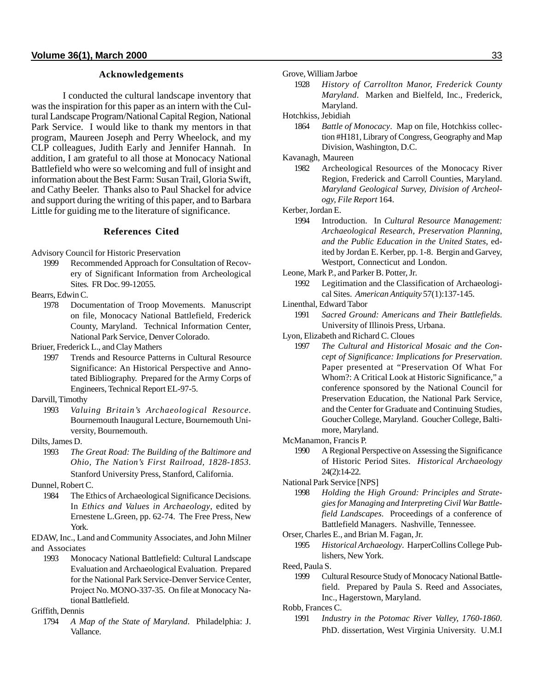## **Acknowledgements**

I conducted the cultural landscape inventory that was the inspiration for this paper as an intern with the Cultural Landscape Program/National Capital Region, National Park Service. I would like to thank my mentors in that program, Maureen Joseph and Perry Wheelock, and my CLP colleagues, Judith Early and Jennifer Hannah. In addition, I am grateful to all those at Monocacy National Battlefield who were so welcoming and full of insight and information about the Best Farm: Susan Trail, Gloria Swift, and Cathy Beeler. Thanks also to Paul Shackel for advice and support during the writing of this paper, and to Barbara Little for guiding me to the literature of significance.

## **References Cited**

- Advisory Council for Historic Preservation
	- 1999 Recommended Approach for Consultation of Recovery of Significant Information from Archeological Sites*.* FR Doc. 99-12055.
- Bearrs, Edwin C.
	- 1978 Documentation of Troop Movements. Manuscript on file, Monocacy National Battlefield, Frederick County, Maryland. Technical Information Center, National Park Service, Denver Colorado.

Briuer, Frederick L., and Clay Mathers

- 1997 Trends and Resource Patterns in Cultural Resource Significance: An Historical Perspective and Annotated Bibliography. Prepared for the Army Corps of Engineers, Technical Report EL-97-5.
- Darvill, Timothy
	- 1993 *Valuing Britain's Archaeological Resource.* Bournemouth Inaugural Lecture, Bournemouth University, Bournemouth.
- Dilts, James D.
	- 1993 *The Great Road: The Building of the Baltimore and Ohio, The Nation's First Railroad, 1828-1853.* Stanford University Press, Stanford, California.

Dunnel, Robert C.

1984 The Ethics of Archaeological Significance Decisions. In *Ethics and Values in Archaeology*, edited by Ernestene L.Green, pp. 62-74. The Free Press, New York.

EDAW, Inc., Land and Community Associates, and John Milner and Associates

1993 Monocacy National Battlefield: Cultural Landscape Evaluation and Archaeological Evaluation. Prepared for the National Park Service-Denver Service Center, Project No. MONO-337-35. On file at Monocacy National Battlefield.

Griffith, Dennis

1794 *A Map of the State of Maryland*. Philadelphia: J. Vallance.

Grove, William Jarboe

1928 *History of Carrollton Manor, Frederick County Maryland*. Marken and Bielfeld, Inc., Frederick, Maryland.

Hotchkiss, Jebidiah

1864 *Battle of Monocacy*. Map on file, Hotchkiss collection #H181, Library of Congress, Geography and Map Division, Washington, D.C.

Kavanagh, Maureen

1982 Archeological Resources of the Monocacy River Region, Frederick and Carroll Counties, Maryland. *Maryland Geological Survey, Division of Archeology, File Report* 164.

Kerber, Jordan E.

1994 Introduction. In *Cultural Resource Management: Archaeological Research, Preservation Planning, and the Public Education in the United States*, edited by Jordan E. Kerber, pp. 1-8. Bergin and Garvey, Westport, Connecticut and London.

Leone, Mark P., and Parker B. Potter, Jr.

- 1992 Legitimation and the Classification of Archaeological Sites. *American Antiquity* 57(1):137-145.
- Linenthal, Edward Tabor
	- 1991 *Sacred Ground: Americans and Their Battlefields*. University of Illinois Press, Urbana.
- Lyon, Elizabeth and Richard C. Cloues
	- 1997 *The Cultural and Historical Mosaic and the Concept of Significance: Implications for Preservation*. Paper presented at "Preservation Of What For Whom?: A Critical Look at Historic Significance," a conference sponsored by the National Council for Preservation Education, the National Park Service, and the Center for Graduate and Continuing Studies, Goucher College, Maryland. Goucher College, Baltimore, Maryland.
- McManamon, Francis P.
	- 1990 A Regional Perspective on Assessing the Significance of Historic Period Sites. *Historical Archaeology* 24(2):14-22.
- National Park Service [NPS]
	- 1998 *Holding the High Ground: Principles and Strategies for Managing and Interpreting Civil War Battlefield Landscapes*. Proceedings of a conference of Battlefield Managers. Nashville, Tennessee.
- Orser, Charles E., and Brian M. Fagan, Jr.
	- 1995 *Historical Archaeology*. HarperCollins College Publishers, New York.

Reed, Paula S.

1999 Cultural Resource Study of Monocacy National Battlefield. Prepared by Paula S. Reed and Associates, Inc., Hagerstown, Maryland.

Robb, Frances C.

1991 *Industry in the Potomac River Valley, 1760-1860*. PhD. dissertation, West Virginia University. U.M.I